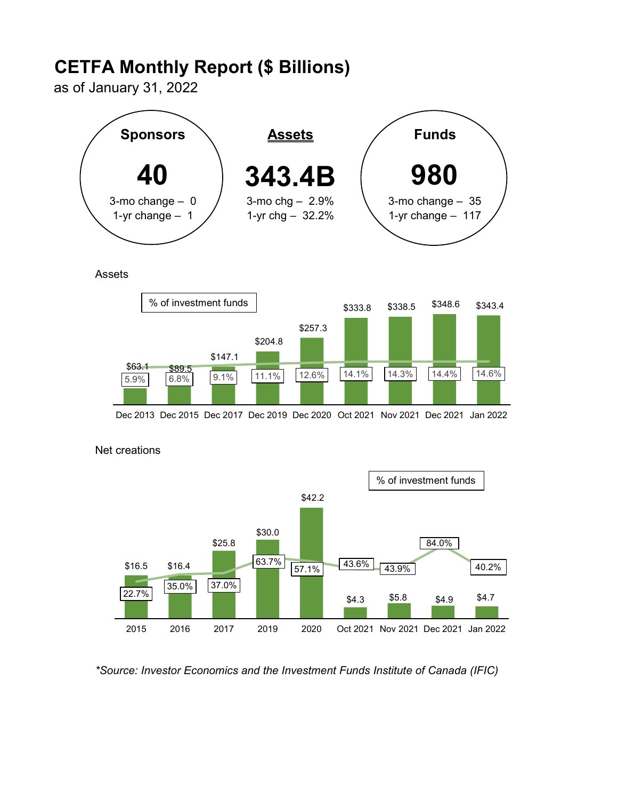# CETFA Monthly Report (\$ Billions)

as of January 31, 2022



**Assets** 



Dec 2013 Dec 2015 Dec 2017 Dec 2019 Dec 2020 Oct 2021 Nov 2021 Dec 2021 Jan 2022



## Net creations

\*Source: Investor Economics and the Investment Funds Institute of Canada (IFIC)